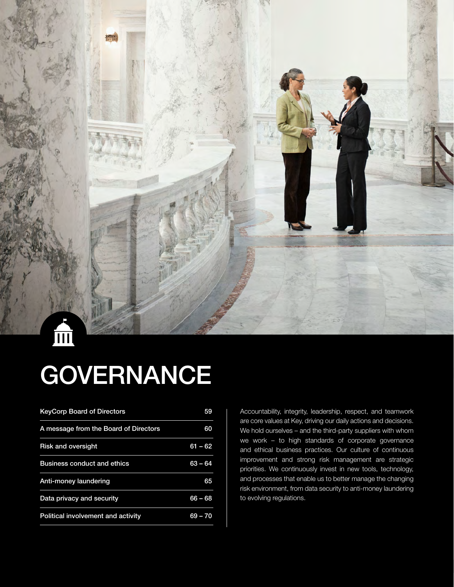

# **GOVERNANCE**

| <b>KeyCorp Board of Directors</b>     | 59        |
|---------------------------------------|-----------|
| A message from the Board of Directors | 60        |
| <b>Risk and oversight</b>             | 61 – 62   |
| <b>Business conduct and ethics</b>    | $63 - 64$ |
| Anti-money laundering                 | 65        |
| Data privacy and security             | $66 - 68$ |
| Political involvement and activity    | 69 – 70   |

Accountability, integrity, leadership, respect, and teamwork are core values at Key, driving our daily actions and decisions. We hold ourselves – and the third-party suppliers with whom we work – to high standards of corporate governance and ethical business practices. Our culture of continuous improvement and strong risk management are strategic priorities. We continuously invest in new tools, technology, and processes that enable us to better manage the changing risk environment, from data security to anti-money laundering to evolving regulations.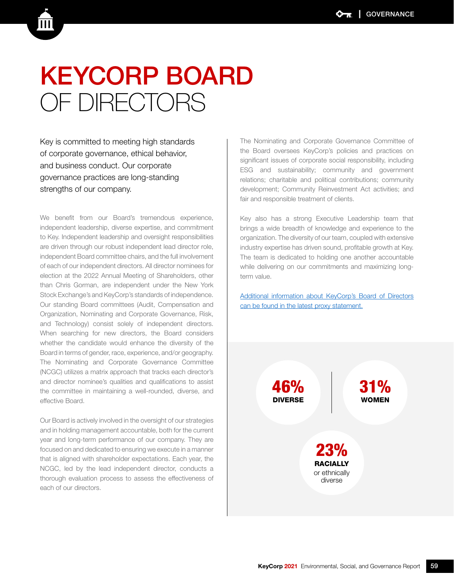## KEYCORP BOARD OF DIRECTORS

Key is committed to meeting high standards of corporate governance, ethical behavior, and business conduct. Our corporate governance practices are long-standing strengths of our company.

We benefit from our Board's tremendous experience, independent leadership, diverse expertise, and commitment to Key. Independent leadership and oversight responsibilities are driven through our robust independent lead director role, independent Board committee chairs, and the full involvement of each of our independent directors. All director nominees for election at the 2022 Annual Meeting of Shareholders, other than Chris Gorman, are independent under the New York Stock Exchange's and KeyCorp's standards of independence. Our standing Board committees (Audit, Compensation and Organization, Nominating and Corporate Governance, Risk, and Technology) consist solely of independent directors. When searching for new directors, the Board considers whether the candidate would enhance the diversity of the Board in terms of gender, race, experience, and/or geography. The Nominating and Corporate Governance Committee (NCGC) utilizes a matrix approach that tracks each director's and director nominee's qualities and qualifications to assist the committee in maintaining a well-rounded, diverse, and effective Board.

Our Board is actively involved in the oversight of our strategies and in holding management accountable, both for the current year and long-term performance of our company. They are focused on and dedicated to ensuring we execute in a manner that is aligned with shareholder expectations. Each year, the NCGC, led by the lead independent director, conducts a thorough evaluation process to assess the effectiveness of each of our directors.

The Nominating and Corporate Governance Committee of the Board oversees KeyCorp's policies and practices on significant issues of corporate social responsibility, including ESG and sustainability; community and government relations; charitable and political contributions; community development; Community Reinvestment Act activities; and fair and responsible treatment of clients.

Key also has a strong Executive Leadership team that brings a wide breadth of knowledge and experience to the organization. The diversity of our team, coupled with extensive industry expertise has driven sound, profitable growth at Key. The team is dedicated to holding one another accountable while delivering on our commitments and maximizing longterm value.

[Additional information about KeyCorp's Board of Directors](https://s23.q4cdn.com/646737342/files/doc_financials/2021/ar/2022-KeyCorp-Proxy-Statement-and-Notice-of-Annual-Meeting-of-Shareholders-vF.pdf)  [can be found in the latest proxy statement.](https://s23.q4cdn.com/646737342/files/doc_financials/2021/ar/2022-KeyCorp-Proxy-Statement-and-Notice-of-Annual-Meeting-of-Shareholders-vF.pdf)

> 46% DIVERSE

> > 23% **RACIALLY** or ethnically diverse

31% WOMEN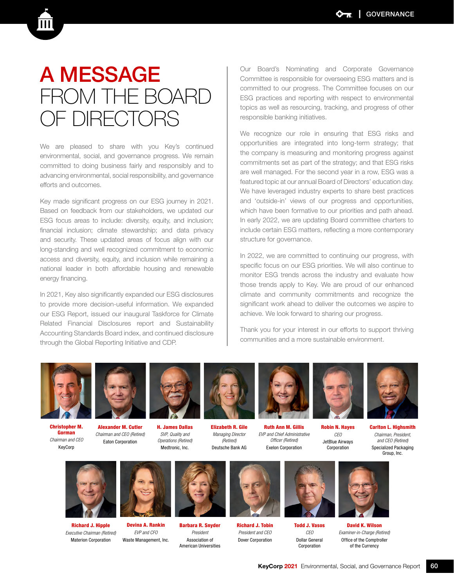### A MESSAGE FROM THE BOARD OF DIRECTORS

We are pleased to share with you Key's continued environmental, social, and governance progress. We remain committed to doing business fairly and responsibly and to advancing environmental, social responsibility, and governance efforts and outcomes.

Key made significant progress on our ESG journey in 2021. Based on feedback from our stakeholders, we updated our ESG focus areas to include: diversity, equity, and inclusion; financial inclusion; climate stewardship; and data privacy and security. These updated areas of focus align with our long-standing and well recognized commitment to economic access and diversity, equity, and inclusion while remaining a national leader in both affordable housing and renewable energy financing.

In 2021, Key also significantly expanded our ESG disclosures to provide more decision-useful information. We expanded our ESG Report, issued our inaugural Taskforce for Climate Related Financial Disclosures report and Sustainability Accounting Standards Board index, and continued disclosure through the Global Reporting Initiative and CDP.

Our Board's Nominating and Corporate Governance Committee is responsible for overseeing ESG matters and is committed to our progress. The Committee focuses on our ESG practices and reporting with respect to environmental topics as well as resourcing, tracking, and progress of other responsible banking initiatives.

We recognize our role in ensuring that ESG risks and opportunities are integrated into long-term strategy; that the company is measuring and monitoring progress against commitments set as part of the strategy; and that ESG risks are well managed. For the second year in a row, ESG was a featured topic at our annual Board of Directors' education day. We have leveraged industry experts to share best practices and 'outside-in' views of our progress and opportunities, which have been formative to our priorities and path ahead. In early 2022, we are updating Board committee charters to include certain ESG matters, reflecting a more contemporary structure for governance.

In 2022, we are committed to continuing our progress, with specific focus on our ESG priorities. We will also continue to monitor ESG trends across the industry and evaluate how those trends apply to Key. We are proud of our enhanced climate and community commitments and recognize the significant work ahead to deliver the outcomes we aspire to achieve. We look forward to sharing our progress.

Thank you for your interest in our efforts to support thriving communities and a more sustainable environment.



Christopher M. Gorman *Chairman and CEO* KeyCorp



Alexander M. Cutler *Chairman and CEO (Retired)* Eaton Corporation



H. James Dallas *SVP, Quality and Operations (Retired)* Medtronic, Inc.



Elizabeth R. Gile *Managing Director (Retired)* Deutsche Bank AG



Ruth Ann M. Gillis *EVP and Chief Administrative Officer (Retired)* Exelon Corporation

Robin N. Hayes

*CEO* JetBlue Airways Corporation



*Chairman, President, and CEO (Retired)* Specialized Packaging Group, Inc.



Richard J. Hipple *Executive Chairman (Retired)* Materion Corporation



*EVP and CFO* Waste Management, Inc.



Barbara R. Snyder *President* Association of American Universities



Richard J. Tobin *President and CEO* Dover Corporation



Todd J. Vasos *CEO* Dollar General Corporation



David K. Wilson *Examiner-in-Charge (Retired)* Office of the Comptroller of the Currency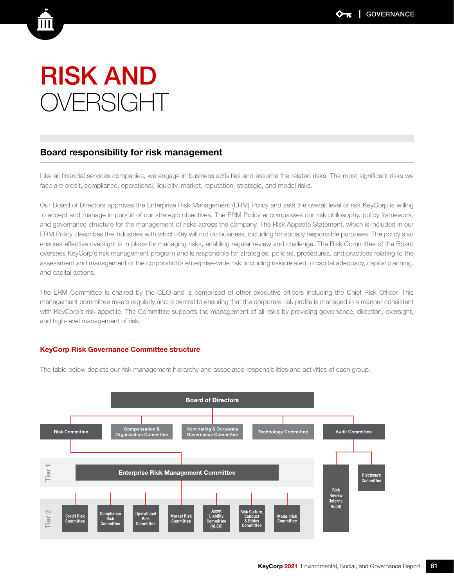### RISK AND OVERSIGHT

### Board responsibility for risk management

Like all financial services companies, we engage in business activities and assume the related risks. The most significant risks we face are credit, compliance, operational, liquidity, market, reputation, strategic, and model risks.

Our Board of Directors approves the Enterprise Risk Management (ERM) Policy and sets the overall level of risk KeyCorp is willing to accept and manage in pursuit of our strategic objectives. The ERM Policy encompasses our risk philosophy, policy framework, and governance structure for the management of risks across the company. The Risk Appetite Statement, which is included in our ERM Policy, describes the industries with which Key will not do business, including for socially responsible purposes. The policy also ensures effective oversight is in place for managing risks, enabling regular review and challenge. The Risk Committee of the Board oversees KeyCorp's risk management program and is responsible for strategies, policies, procedures, and practices relating to the assessment and management of the corporation's enterprise-wide risk, including risks related to capital adequacy, capital planning, and capital actions.

The ERM Committee is chaired by the CEO and is comprised of other executive officers including the Chief Risk Officer. This management committee meets regularly and is central to ensuring that the corporate risk profile is managed in a manner consistent with KeyCorp's risk appetite. The Committee supports the management of all risks by providing governance, direction, oversight, and high-level management of risk.

#### KeyCorp Risk Governance Committee structure

 $\sim$ 

Tier

Credit Risk<br>Committee



Liability

ommitt<br>(ALCO)

isk Culture<br>Conduct<br>& Ethics

Model Risk<br>Committee

**Enterprise Risk Management Committee** 

Market Risk<br>Committee

Operation

Committer

mpliance<br>Risk  $Co$ 

Committee

The table below depicts our risk management hierarchy and associated responsibilities and activities of each group.

Risk Review (Internal Audit)

Disclosure Committee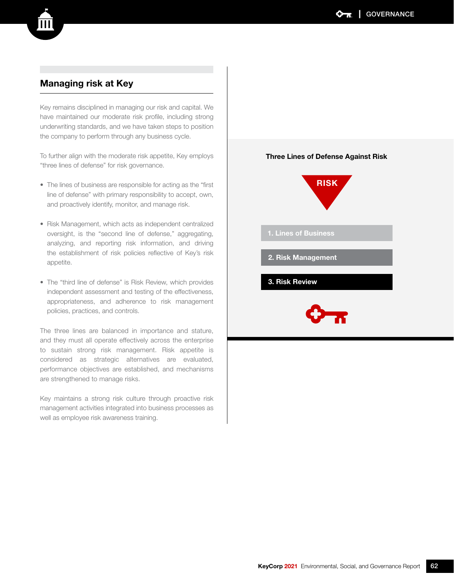### Managing risk at Key

Key remains disciplined in managing our risk and capital. We have maintained our moderate risk profile, including strong underwriting standards, and we have taken steps to position the company to perform through any business cycle.

To further align with the moderate risk appetite, Key employs "three lines of defense" for risk governance.

- The lines of business are responsible for acting as the "first line of defense" with primary responsibility to accept, own, and proactively identify, monitor, and manage risk.
- Risk Management, which acts as independent centralized oversight, is the "second line of defense," aggregating, analyzing, and reporting risk information, and driving the establishment of risk policies reflective of Key's risk appetite.
- The "third line of defense" is Risk Review, which provides independent assessment and testing of the effectiveness, appropriateness, and adherence to risk management policies, practices, and controls.

The three lines are balanced in importance and stature, and they must all operate effectively across the enterprise to sustain strong risk management. Risk appetite is considered as strategic alternatives are evaluated, performance objectives are established, and mechanisms are strengthened to manage risks.

Key maintains a strong risk culture through proactive risk management activities integrated into business processes as well as employee risk awareness training.



Three Lines of Defense Against Risk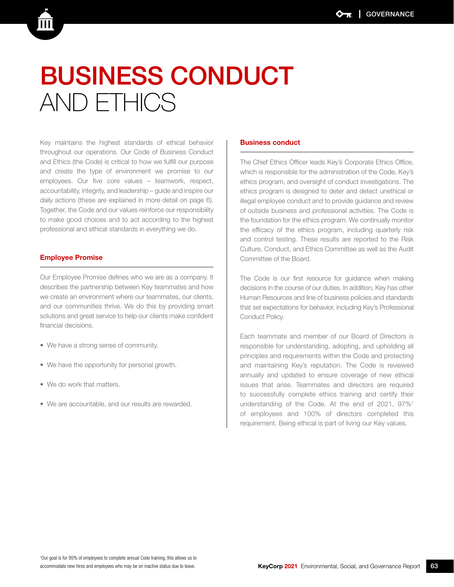## BUSINESS CONDUCT AND ETHICS

Key maintains the highest standards of ethical behavior throughout our operations. Our Code of Business Conduct and Ethics (the Code) is critical to how we fulfill our purpose and create the type of environment we promise to our employees. Our five core values – teamwork, respect, accountability, integrity, and leadership – guide and inspire our daily actions (these are explained in more detail on page 6). Together, the Code and our values reinforce our responsibility to make good choices and to act according to the highest professional and ethical standards in everything we do.

#### Employee Promise

Our Employee Promise defines who we are as a company. It describes the partnership between Key teammates and how we create an environment where our teammates, our clients, and our communities thrive. We do this by providing smart solutions and great service to help our clients make confident financial decisions.

- We have a strong sense of community.
- We have the opportunity for personal growth.
- We do work that matters.
- We are accountable, and our results are rewarded.

#### Business conduct

The Chief Ethics Officer leads Key's Corporate Ethics Office, which is responsible for the administration of the Code, Key's ethics program, and oversight of conduct investigations. The ethics program is designed to deter and detect unethical or illegal employee conduct and to provide guidance and review of outside business and professional activities. The Code is the foundation for the ethics program. We continually monitor the efficacy of the ethics program, including quarterly risk and control testing. These results are reported to the Risk Culture, Conduct, and Ethics Committee as well as the Audit Committee of the Board.

The Code is our first resource for guidance when making decisions in the course of our duties. In addition, Key has other Human Resources and line of business policies and standards that set expectations for behavior, including Key's Professional Conduct Policy.

Each teammate and member of our Board of Directors is responsible for understanding, adopting, and upholding all principles and requirements within the Code and protecting and maintaining Key's reputation. The Code is reviewed annually and updated to ensure coverage of new ethical issues that arise. Teammates and directors are required to successfully complete ethics training and certify their understanding of the Code. At the end of 2021, 97%<sup>1</sup> of employees and 100% of directors completed this requirement. Being ethical is part of living our Key values.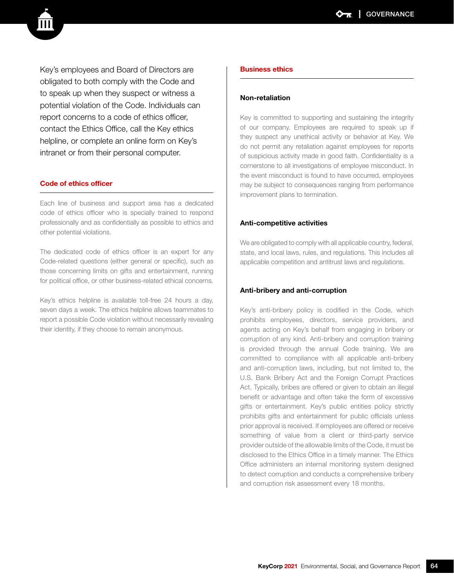Key's employees and Board of Directors are obligated to both comply with the Code and to speak up when they suspect or witness a potential violation of the Code. Individuals can report concerns to a code of ethics officer, contact the Ethics Office, call the Key ethics helpline, or complete an online form on Key's intranet or from their personal computer.

#### Code of ethics officer

Each line of business and support area has a dedicated code of ethics officer who is specially trained to respond professionally and as confidentially as possible to ethics and other potential violations.

The dedicated code of ethics officer is an expert for any Code-related questions (either general or specific), such as those concerning limits on gifts and entertainment, running for political office, or other business-related ethical concerns.

Key's ethics helpline is available toll-free 24 hours a day, seven days a week. The ethics helpline allows teammates to report a possible Code violation without necessarily revealing their identity, if they choose to remain anonymous.

#### Business ethics

#### Non-retaliation

Key is committed to supporting and sustaining the integrity of our company. Employees are required to speak up if they suspect any unethical activity or behavior at Key. We do not permit any retaliation against employees for reports of suspicious activity made in good faith. Confidentiality is a cornerstone to all investigations of employee misconduct. In the event misconduct is found to have occurred, employees may be subject to consequences ranging from performance improvement plans to termination.

#### Anti-competitive activities

We are obligated to comply with all applicable country, federal, state, and local laws, rules, and regulations. This includes all applicable competition and antitrust laws and regulations.

#### Anti-bribery and anti-corruption

Key's anti-bribery policy is codified in the Code, which prohibits employees, directors, service providers, and agents acting on Key's behalf from engaging in bribery or corruption of any kind. Anti-bribery and corruption training is provided through the annual Code training. We are committed to compliance with all applicable anti-bribery and anti-corruption laws, including, but not limited to, the U.S. Bank Bribery Act and the Foreign Corrupt Practices Act. Typically, bribes are offered or given to obtain an illegal benefit or advantage and often take the form of excessive gifts or entertainment. Key's public entities policy strictly prohibits gifts and entertainment for public officials unless prior approval is received. If employees are offered or receive something of value from a client or third-party service provider outside of the allowable limits of the Code, it must be disclosed to the Ethics Office in a timely manner. The Ethics Office administers an internal monitoring system designed to detect corruption and conducts a comprehensive bribery and corruption risk assessment every 18 months.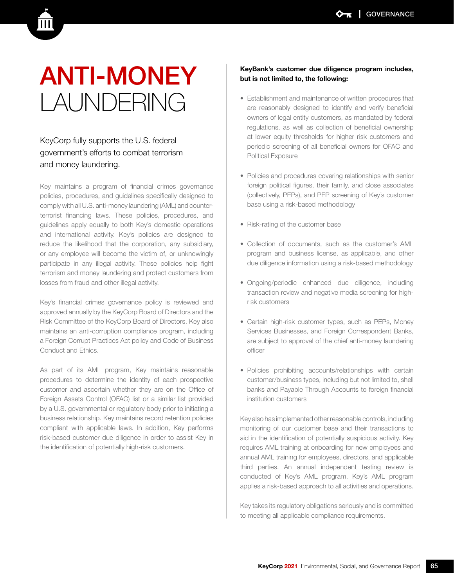## ANTI-MONEY LAUNDERING

### KeyCorp fully supports the U.S. federal government's efforts to combat terrorism and money laundering.

Key maintains a program of financial crimes governance policies, procedures, and guidelines specifically designed to comply with all U.S. anti-money laundering (AML) and counterterrorist financing laws. These policies, procedures, and guidelines apply equally to both Key's domestic operations and international activity. Key's policies are designed to reduce the likelihood that the corporation, any subsidiary, or any employee will become the victim of, or unknowingly participate in any illegal activity. These policies help fight terrorism and money laundering and protect customers from losses from fraud and other illegal activity.

Key's financial crimes governance policy is reviewed and approved annually by the KeyCorp Board of Directors and the Risk Committee of the KeyCorp Board of Directors. Key also maintains an anti-corruption compliance program, including a Foreign Corrupt Practices Act policy and Code of Business Conduct and Ethics.

As part of its AML program, Key maintains reasonable procedures to determine the identity of each prospective customer and ascertain whether they are on the Office of Foreign Assets Control (OFAC) list or a similar list provided by a U.S. governmental or regulatory body prior to initiating a business relationship. Key maintains record retention policies compliant with applicable laws. In addition, Key performs risk-based customer due diligence in order to assist Key in the identification of potentially high-risk customers.

#### KeyBank's customer due diligence program includes, but is not limited to, the following:

- Establishment and maintenance of written procedures that are reasonably designed to identify and verify beneficial owners of legal entity customers, as mandated by federal regulations, as well as collection of beneficial ownership at lower equity thresholds for higher risk customers and periodic screening of all beneficial owners for OFAC and Political Exposure
- Policies and procedures covering relationships with senior foreign political figures, their family, and close associates (collectively, PEPs), and PEP screening of Key's customer base using a risk-based methodology
- Risk-rating of the customer base
- Collection of documents, such as the customer's AML program and business license, as applicable, and other due diligence information using a risk-based methodology
- Ongoing/periodic enhanced due diligence, including transaction review and negative media screening for highrisk customers
- Certain high-risk customer types, such as PEPs, Money Services Businesses, and Foreign Correspondent Banks, are subject to approval of the chief anti-money laundering officer
- Policies prohibiting accounts/relationships with certain customer/business types, including but not limited to, shell banks and Payable Through Accounts to foreign financial institution customers

Key also has implemented other reasonable controls, including monitoring of our customer base and their transactions to aid in the identification of potentially suspicious activity. Key requires AML training at onboarding for new employees and annual AML training for employees, directors, and applicable third parties. An annual independent testing review is conducted of Key's AML program. Key's AML program applies a risk-based approach to all activities and operations.

Key takes its regulatory obligations seriously and is committed to meeting all applicable compliance requirements.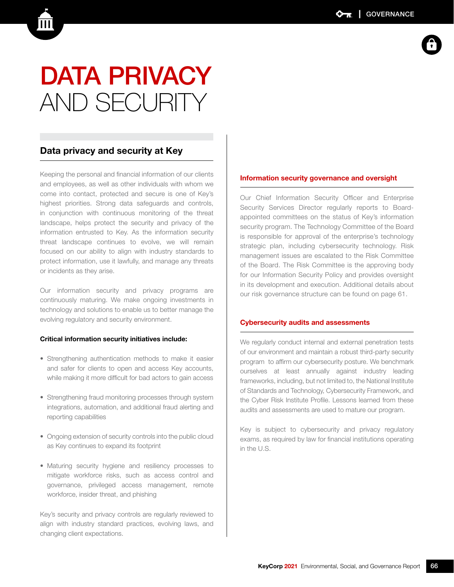## DATA PRIVACY AND SECURITY

### Data privacy and security at Key

Keeping the personal and financial information of our clients and employees, as well as other individuals with whom we come into contact, protected and secure is one of Key's highest priorities. Strong data safeguards and controls, in conjunction with continuous monitoring of the threat landscape, helps protect the security and privacy of the information entrusted to Key. As the information security threat landscape continues to evolve, we will remain focused on our ability to align with industry standards to protect information, use it lawfully, and manage any threats or incidents as they arise.

Our information security and privacy programs are continuously maturing. We make ongoing investments in technology and solutions to enable us to better manage the evolving regulatory and security environment.

#### Critical information security initiatives include:

- Strengthening authentication methods to make it easier and safer for clients to open and access Key accounts, while making it more difficult for bad actors to gain access
- Strengthening fraud monitoring processes through system integrations, automation, and additional fraud alerting and reporting capabilities
- Ongoing extension of security controls into the public cloud as Key continues to expand its footprint
- Maturing security hygiene and resiliency processes to mitigate workforce risks, such as access control and governance, privileged access management, remote workforce, insider threat, and phishing

Key's security and privacy controls are regularly reviewed to align with industry standard practices, evolving laws, and changing client expectations.

#### Information security governance and oversight

Our Chief Information Security Officer and Enterprise Security Services Director regularly reports to Boardappointed committees on the status of Key's information security program. The Technology Committee of the Board is responsible for approval of the enterprise's technology strategic plan, including cybersecurity technology. Risk management issues are escalated to the Risk Committee of the Board. The Risk Committee is the approving body for our Information Security Policy and provides oversight in its development and execution. Additional details about our risk governance structure can be found on page 61.

#### Cybersecurity audits and assessments

We regularly conduct internal and external penetration tests of our environment and maintain a robust third-party security program to affirm our cybersecurity posture. We benchmark ourselves at least annually against industry leading frameworks, including, but not limited to, the National Institute of Standards and Technology, Cybersecurity Framework, and the Cyber Risk Institute Profile. Lessons learned from these audits and assessments are used to mature our program.

Key is subject to cybersecurity and privacy regulatory exams, as required by law for financial institutions operating in the U.S.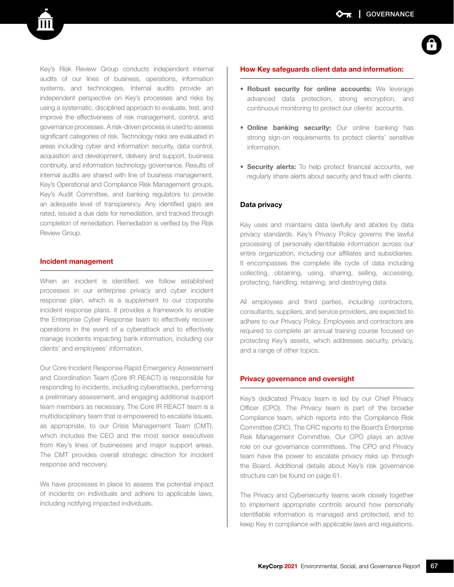Key's Risk Review Group conducts independent internal audits of our lines of business, operations, information systems, and technologies. Internal audits provide an independent perspective on Key's processes and risks by using a systematic, disciplined approach to evaluate, test, and improve the effectiveness of risk management, control, and governance processes. A risk-driven process is used to assess significant categories of risk. Technology risks are evaluated in areas including cyber and information security, data control, acquisition and development, delivery and support, business continuity, and information technology governance. Results of internal audits are shared with line of business management, Key's Operational and Compliance Risk Management groups, Key's Audit Committee, and banking regulators to provide an adequate level of transparency. Any identified gaps are rated, issued a due date for remediation, and tracked through completion of remediation. Remediation is verified by the Risk Review Group.

#### Incident management

When an incident is identified, we follow established processes in our enterprise privacy and cyber incident response plan, which is a supplement to our corporate incident response plans. It provides a framework to enable the Enterprise Cyber Response team to effectively recover operations in the event of a cyberattack and to effectively manage incidents impacting bank information, including our clients' and employees' information.

Our Core Incident Response Rapid Emergency Assessment and Coordination Team (Core IR REACT) is responsible for responding to incidents, including cyberattacks, performing a preliminary assessment, and engaging additional support team members as necessary. The Core IR REACT team is a multidisciplinary team that is empowered to escalate issues, as appropriate, to our Crisis Management Team (CMT), which includes the CEO and the most senior executives from Key's lines of businesses and major support areas. The CMT provides overall strategic direction for incident response and recovery.

We have processes in place to assess the potential impact of incidents on individuals and adhere to applicable laws, including notifying impacted individuals.

#### How Key safeguards client data and information:

- Robust security for online accounts: We leverage advanced data protection, strong encryption, and continuous monitoring to protect our clients' accounts.
- Online banking security: Our online banking has strong sign-on requirements to protect clients' sensitive information.
- Security alerts: To help protect financial accounts, we regularly share alerts about security and fraud with clients.

#### Data privacy

Key uses and maintains data lawfully and abides by data privacy standards. Key's Privacy Policy governs the lawful processing of personally identifiable information across our entire organization, including our affiliates and subsidiaries. It encompasses the complete life cycle of data including collecting, obtaining, using, sharing, selling, accessing, protecting, handling, retaining, and destroying data.

All employees and third parties, including contractors, consultants, suppliers, and service providers, are expected to adhere to our Privacy Policy. Employees and contractors are required to complete an annual training course focused on protecting Key's assets, which addresses security, privacy, and a range of other topics.

#### Privacy governance and oversight

Key's dedicated Privacy team is led by our Chief Privacy Officer (CPO). The Privacy team is part of the broader Compliance team, which reports into the Compliance Risk Committee (CRC). The CRC reports to the Board's Enterprise Risk Management Committee. Our CPO plays an active role on our governance committees. The CPO and Privacy team have the power to escalate privacy risks up through the Board. Additional details about Key's risk governance structure can be found on page 61.

The Privacy and Cybersecurity teams work closely together to implement appropriate controls around how personally identifiable information is managed and protected, and to keep Key in compliance with applicable laws and regulations.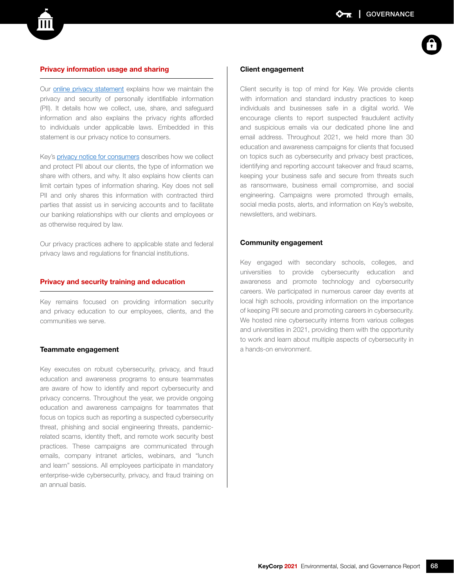#### Privacy information usage and sharing

Our [online privacy statement](https://www.key.com/about/misc/online-privacy-statement.jsp) explains how we maintain the privacy and security of personally identifiable information (PII). It details how we collect, use, share, and safeguard information and also explains the privacy rights afforded to individuals under applicable laws. Embedded in this statement is our privacy notice to consumers.

Key's [privacy notice for consumers](https://www.key.com/about/misc/privacy-policy-keycorp.jsp) describes how we collect and protect PII about our clients, the type of information we share with others, and why. It also explains how clients can limit certain types of information sharing. Key does not sell PII and only shares this information with contracted third parties that assist us in servicing accounts and to facilitate our banking relationships with our clients and employees or as otherwise required by law.

Our privacy practices adhere to applicable state and federal privacy laws and regulations for financial institutions.

#### Privacy and security training and education

Key remains focused on providing information security and privacy education to our employees, clients, and the communities we serve.

#### Teammate engagement

Key executes on robust cybersecurity, privacy, and fraud education and awareness programs to ensure teammates are aware of how to identify and report cybersecurity and privacy concerns. Throughout the year, we provide ongoing education and awareness campaigns for teammates that focus on topics such as reporting a suspected cybersecurity threat, phishing and social engineering threats, pandemicrelated scams, identity theft, and remote work security best practices. These campaigns are communicated through emails, company intranet articles, webinars, and "lunch and learn" sessions. All employees participate in mandatory enterprise-wide cybersecurity, privacy, and fraud training on an annual basis.

#### Client engagement

Client security is top of mind for Key. We provide clients with information and standard industry practices to keep individuals and businesses safe in a digital world. We encourage clients to report suspected fraudulent activity and suspicious emails via our dedicated phone line and email address. Throughout 2021, we held more than 30 education and awareness campaigns for clients that focused on topics such as cybersecurity and privacy best practices, identifying and reporting account takeover and fraud scams, keeping your business safe and secure from threats such as ransomware, business email compromise, and social engineering. Campaigns were promoted through emails, social media posts, alerts, and information on Key's website, newsletters, and webinars.

#### Community engagement

Key engaged with secondary schools, colleges, and universities to provide cybersecurity education and awareness and promote technology and cybersecurity careers. We participated in numerous career day events at local high schools, providing information on the importance of keeping PII secure and promoting careers in cybersecurity. We hosted nine cybersecurity interns from various colleges and universities in 2021, providing them with the opportunity to work and learn about multiple aspects of cybersecurity in a hands-on environment.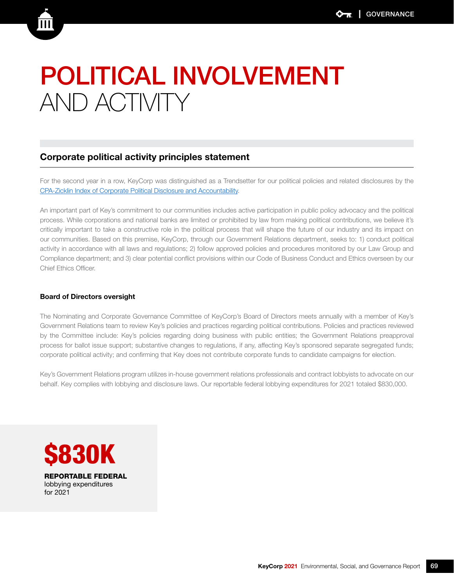## POLITICAL INVOLVEMENT AND ACTIVITY

### Corporate political activity principles statement

For the second year in a row, KeyCorp was distinguished as a Trendsetter for our political policies and related disclosures by the [CPA-Zicklin Index of Corporate Political Disclosure and Accountability.](https://www.politicalaccountability.net/wp-content/uploads/2021/11/2021-CPA-Zicklin-Index.pdf)

An important part of Key's commitment to our communities includes active participation in public policy advocacy and the political process. While corporations and national banks are limited or prohibited by law from making political contributions, we believe it's critically important to take a constructive role in the political process that will shape the future of our industry and its impact on our communities. Based on this premise, KeyCorp, through our Government Relations department, seeks to: 1) conduct political activity in accordance with all laws and regulations; 2) follow approved policies and procedures monitored by our Law Group and Compliance department; and 3) clear potential conflict provisions within our Code of Business Conduct and Ethics overseen by our Chief Ethics Officer.

#### Board of Directors oversight

The Nominating and Corporate Governance Committee of KeyCorp's Board of Directors meets annually with a member of Key's Government Relations team to review Key's policies and practices regarding political contributions. Policies and practices reviewed by the Committee include: Key's policies regarding doing business with public entities; the Government Relations preapproval process for ballot issue support; substantive changes to regulations, if any, affecting Key's sponsored separate segregated funds; corporate political activity; and confirming that Key does not contribute corporate funds to candidate campaigns for election.

Key's Government Relations program utilizes in-house government relations professionals and contract lobbyists to advocate on our behalf. Key complies with lobbying and disclosure laws. Our reportable federal lobbying expenditures for 2021 totaled \$830,000.